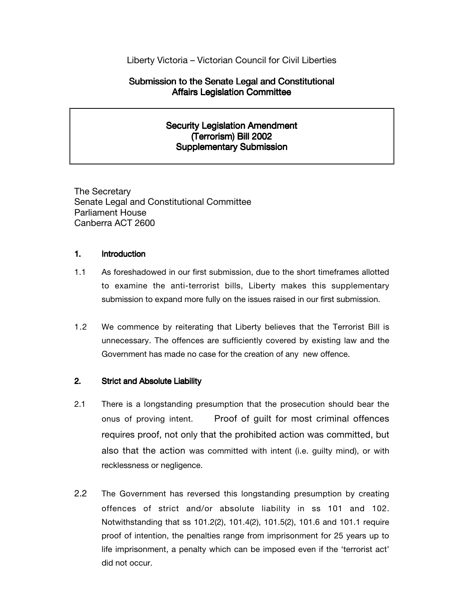# Liberty Victoria – Victorian Council for Civil Liberties

# Submission to the Senate Legal and Constitutional Affairs Legislation Committee

# Security Legislation Amendment (Terrorism) Bill 2002 Supplementary Submission

The Secretary Senate Legal and Constitutional Committee Parliament House Canberra ACT 2600

## 1. Introduction

- 1.1 As foreshadowed in our first submission, due to the short timeframes allotted to examine the anti-terrorist bills, Liberty makes this supplementary submission to expand more fully on the issues raised in our first submission.
- 1.2 We commence by reiterating that Liberty believes that the Terrorist Bill is unnecessary. The offences are sufficiently covered by existing law and the Government has made no case for the creation of any new offence.

## 2. Strict and Absolute Liability

- 2.1 There is a longstanding presumption that the prosecution should bear the onus of proving intent. Proof of guilt for most criminal offences requires proof, not only that the prohibited action was committed, but also that the action was committed with intent (i.e. guilty mind), or with recklessness or negligence.
- 2.2 The Government has reversed this longstanding presumption by creating offences of strict and/or absolute liability in ss 101 and 102. Notwithstanding that ss 101.2(2), 101.4(2), 101.5(2), 101.6 and 101.1 require proof of intention, the penalties range from imprisonment for 25 years up to life imprisonment, a penalty which can be imposed even if the 'terrorist act' did not occur.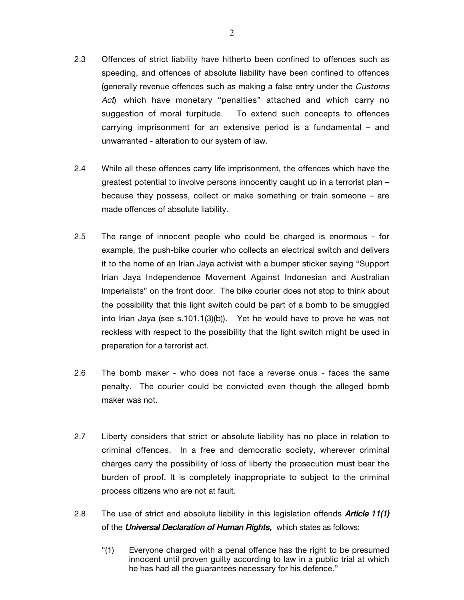- 2.3 Offences of strict liability have hitherto been confined to offences such as speeding, and offences of absolute liability have been confined to offences (generally revenue offences such as making a false entry under the Customs Act) which have monetary "penalties" attached and which carry no suggestion of moral turpitude. To extend such concepts to offences carrying imprisonment for an extensive period is a fundamental – and unwarranted - alteration to our system of law.
- 2.4 While all these offences carry life imprisonment, the offences which have the greatest potential to involve persons innocently caught up in a terrorist plan – because they possess, collect or make something or train someone – are made offences of absolute liability.
- 2.5 The range of innocent people who could be charged is enormous for example, the push-bike courier who collects an electrical switch and delivers it to the home of an Irian Jaya activist with a bumper sticker saying "Support Irian Jaya Independence Movement Against Indonesian and Australian Imperialists" on the front door. The bike courier does not stop to think about the possibility that this light switch could be part of a bomb to be smuggled into Irian Jaya (see s.101.1(3)(b)). Yet he would have to prove he was not reckless with respect to the possibility that the light switch might be used in preparation for a terrorist act.
- 2.6 The bomb maker who does not face a reverse onus faces the same penalty. The courier could be convicted even though the alleged bomb maker was not.
- 2.7 Liberty considers that strict or absolute liability has no place in relation to criminal offences. In a free and democratic society, wherever criminal charges carry the possibility of loss of liberty the prosecution must bear the burden of proof. It is completely inappropriate to subject to the criminal process citizens who are not at fault.
- 2.8 The use of strict and absolute liability in this legislation offends **Article 11(1)** of the *Universal Declaration of Human Rights*, which states as follows:
	- "(1) Everyone charged with a penal offence has the right to be presumed innocent until proven guilty according to law in a public trial at which he has had all the guarantees necessary for his defence."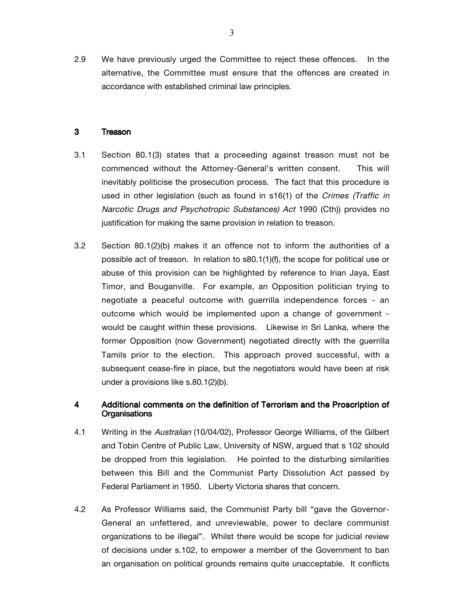2.9 We have previously urged the Committee to reject these offences. In the alternative, the Committee must ensure that the offences are created in accordance with established criminal law principles.

#### 3 Treason

- 3.1 Section 80.1(3) states that a proceeding against treason must not be commenced without the Attorney-General's written consent. This will inevitably politicise the prosecution process. The fact that this procedure is used in other legislation (such as found in s16(1) of the Crimes (Traffic in Narcotic Drugs and Psychotropic Substances) Act 1990 (Cth)) provides no justification for making the same provision in relation to treason.
- 3.2 Section 80.1(2)(b) makes it an offence not to inform the authorities of a possible act of treason. In relation to s80.1(1)(f), the scope for political use or abuse of this provision can be highlighted by reference to Irian Jaya, East Timor, and Bouganville. For example, an Opposition politician trying to negotiate a peaceful outcome with guerrilla independence forces - an outcome which would be implemented upon a change of government would be caught within these provisions. Likewise in Sri Lanka, where the former Opposition (now Government) negotiated directly with the guerrilla Tamils prior to the election. This approach proved successful, with a subsequent cease-fire in place, but the negotiators would have been at risk under a provisions like s.80.1(2)(b).

## 4 Additional comments on the definition of Terrorism and the Proscription of **Organisations**

- 4.1 Writing in the Australian (10/04/02), Professor George Williams, of the Gilbert and Tobin Centre of Public Law, University of NSW, argued that s 102 should be dropped from this legislation. He pointed to the disturbing similarities between this Bill and the Communist Party Dissolution Act passed by Federal Parliament in 1950. Liberty Victoria shares that concern.
- 4.2 As Professor Williams said, the Communist Party bill "gave the Governor-General an unfettered, and unreviewable, power to declare communist organizations to be illegal". Whilst there would be scope for judicial review of decisions under s.102, to empower a member of the Government to ban an organisation on political grounds remains quite unacceptable. It conflicts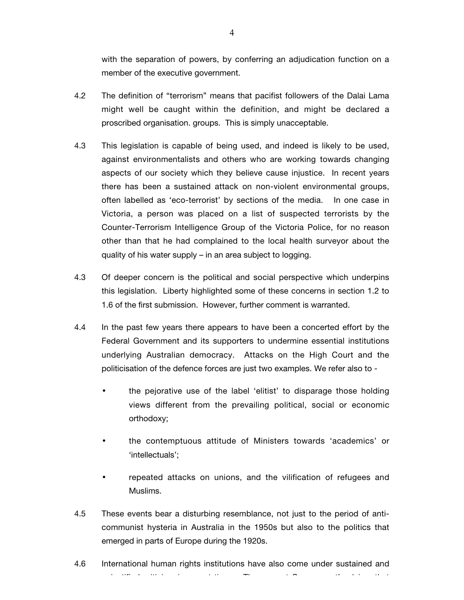with the separation of powers, by conferring an adjudication function on a member of the executive government.

- 4.2 The definition of "terrorism" means that pacifist followers of the Dalai Lama might well be caught within the definition, and might be declared a proscribed organisation. groups. This is simply unacceptable.
- 4.3 This legislation is capable of being used, and indeed is likely to be used, against environmentalists and others who are working towards changing aspects of our society which they believe cause injustice. In recent years there has been a sustained attack on non-violent environmental groups, often labelled as 'eco-terrorist' by sections of the media. In one case in Victoria, a person was placed on a list of suspected terrorists by the Counter-Terrorism Intelligence Group of the Victoria Police, for no reason other than that he had complained to the local health surveyor about the quality of his water supply – in an area subject to logging.
- 4.3 Of deeper concern is the political and social perspective which underpins this legislation. Liberty highlighted some of these concerns in section 1.2 to 1.6 of the first submission. However, further comment is warranted.
- 4.4 In the past few years there appears to have been a concerted effort by the Federal Government and its supporters to undermine essential institutions underlying Australian democracy. Attacks on the High Court and the politicisation of the defence forces are just two examples. We refer also to -
	- the pejorative use of the label 'elitist' to disparage those holding views different from the prevailing political, social or economic orthodoxy;
	- the contemptuous attitude of Ministers towards 'academics' or 'intellectuals';
	- repeated attacks on unions, and the vilification of refugees and Muslims.
- 4.5 These events bear a disturbing resemblance, not just to the period of anticommunist hysteria in Australia in the 1950s but also to the politics that emerged in parts of Europe during the 1920s.

4.6 International human rights institutions have also come under sustained and j tifi da iti i i tituli da iti i i titi i i i i tituli da iti i titi i titi i titi i titi i titi i titi i tit<br>The control of the control of the control of the control of the control of the control of the control of the c